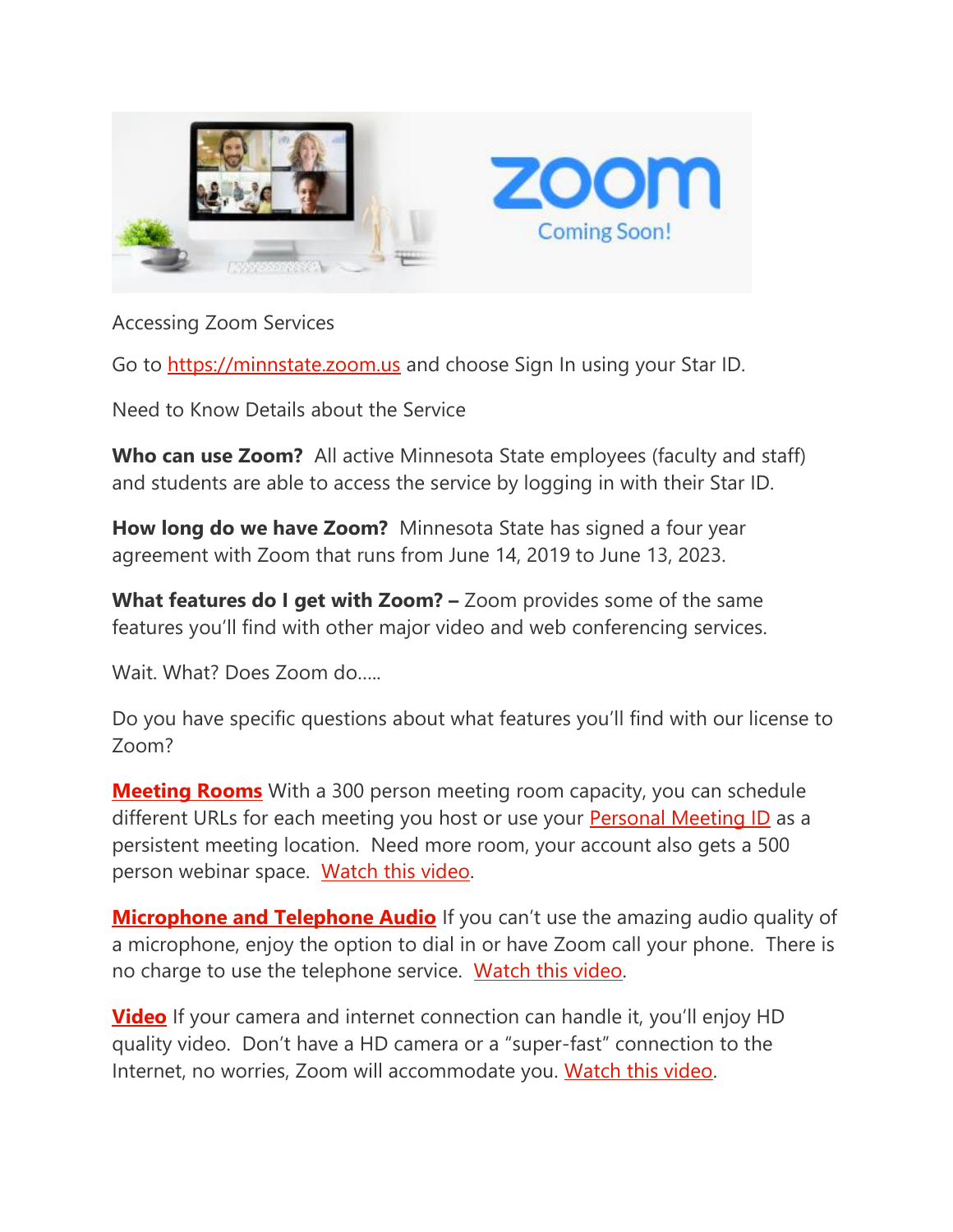

## Accessing Zoom Services

Go to [https://minnstate.zoom.us](https://nam02.safelinks.protection.outlook.com/?url=https://minnstate.zoom.us&data=02%7c01%7cstacie.laughlin%40ridgewater.edu%7cb2dc19bd6a6346062ea608d732e1db96%7c5011c7c60ab446ab9ef4fae74a921a7f%7c0%7c0%7c637033817940029347&sdata=oYWcCR8%2BmfLU3WN2CTgjcZrYYgjiBOwI/Ayo49lxvH0%3D&reserved=0) and choose Sign In using your Star ID.

Need to Know Details about the Service

**Who can use Zoom?** All active Minnesota State employees (faculty and staff) and students are able to access the service by logging in with their Star ID.

**How long do we have Zoom?** Minnesota State has signed a four year agreement with Zoom that runs from June 14, 2019 to June 13, 2023.

**What features do I get with Zoom?** – Zoom provides some of the same features you'll find with other major video and web conferencing services.

Wait. What? Does Zoom do…..

Do you have specific questions about what features you'll find with our license to Zoom?

**[Meeting Rooms](https://nam02.safelinks.protection.outlook.com/?url=https://support.zoom.us/hc/en-us/categories/201146643-Meetings-Webinars&data=02%7c01%7cstacie.laughlin%40ridgewater.edu%7cb2dc19bd6a6346062ea608d732e1db96%7c5011c7c60ab446ab9ef4fae74a921a7f%7c0%7c0%7c637033817940039342&sdata=9rXHkVpI1g3H6J3cLAoAoFD/pFpgC%2BwnHe4uOA1E%2BwY%3D&reserved=0)** With a 300 person meeting room capacity, you can schedule different URLs for each meeting you host or use your **[Personal Meeting ID](https://nam02.safelinks.protection.outlook.com/?url=https://support.zoom.us/hc/en-us/articles/201362843-What-is-Personal-Meeting-ID-PMI-and-Personal-Link-&data=02%7c01%7cstacie.laughlin%40ridgewater.edu%7cb2dc19bd6a6346062ea608d732e1db96%7c5011c7c60ab446ab9ef4fae74a921a7f%7c0%7c0%7c637033817940039342&sdata=ICOXfTjtzcKL9XCHz2JI0CT0KBFt9bThn1A/6iWmtRI%3D&reserved=0)** as a persistent meeting location. Need more room, your account also gets a 500 person webinar space. [Watch this video.](https://nam02.safelinks.protection.outlook.com/?url=https://www.youtube.com/embed/9wsWpnqE6Hw?rel%3D0%26autoplay%3D1%26cc_load_policy%3D1&data=02%7c01%7cstacie.laughlin%40ridgewater.edu%7cb2dc19bd6a6346062ea608d732e1db96%7c5011c7c60ab446ab9ef4fae74a921a7f%7c0%7c0%7c637033817940049342&sdata=5K73H3KiksluIh7lOxJA0mTRGSfjYaR8n9Q0Gx%2Ba3YA%3D&reserved=0)

**[Microphone and Telephone Audio](https://nam02.safelinks.protection.outlook.com/?url=https://support.zoom.us/hc/en-us/sections/200319096-Audio&data=02%7c01%7cstacie.laughlin%40ridgewater.edu%7cb2dc19bd6a6346062ea608d732e1db96%7c5011c7c60ab446ab9ef4fae74a921a7f%7c0%7c0%7c637033817940049342&sdata=Pze/UkVkGybhl%2B8D1ah%2BN3yEruuczFGLbEbmrA9IEGQ%3D&reserved=0)** If you can't use the amazing audio quality of a microphone, enjoy the option to dial in or have Zoom call your phone. There is no charge to use the telephone service. [Watch this video.](https://nam02.safelinks.protection.outlook.com/?url=https://www.youtube.com/embed/HqncX7RE0wM?rel%3D0%26autoplay%3D1%26cc_load_policy%3D1&data=02%7c01%7cstacie.laughlin%40ridgewater.edu%7cb2dc19bd6a6346062ea608d732e1db96%7c5011c7c60ab446ab9ef4fae74a921a7f%7c0%7c0%7c637033817940059339&sdata=RTjTetm3gnBl4c9xzuZftFunYwTd8/cqH5hBvICNDPM%3D&reserved=0)

**[Video](https://nam02.safelinks.protection.outlook.com/?url=https://support.zoom.us/hc/en-us/sections/200521865-Video&data=02%7c01%7cstacie.laughlin%40ridgewater.edu%7cb2dc19bd6a6346062ea608d732e1db96%7c5011c7c60ab446ab9ef4fae74a921a7f%7c0%7c0%7c637033817940059339&sdata=C6zkexAuA43952VPURTd7Q0CG9hDUsklD%2BZNzi9W8qQ%3D&reserved=0)** If your camera and internet connection can handle it, you'll enjoy HD quality video. Don't have a HD camera or a "super-fast" connection to the Internet, no worries, Zoom will accommodate you. [Watch this video.](https://nam02.safelinks.protection.outlook.com/?url=https://www.youtube.com/embed/HqncX7RE0wM?rel%3D0%26autoplay%3D1%26cc_load_policy%3D1&data=02%7c01%7cstacie.laughlin%40ridgewater.edu%7cb2dc19bd6a6346062ea608d732e1db96%7c5011c7c60ab446ab9ef4fae74a921a7f%7c0%7c0%7c637033817940069328&sdata=Hcbr7GhWpE44/bg5rJvl1KX8e7c8SJAHUwbf5AGiUqE%3D&reserved=0)